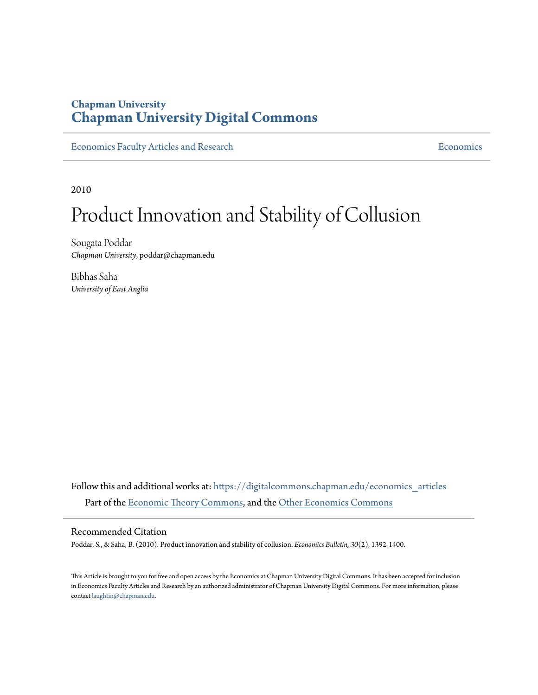## **Chapman University [Chapman University Digital Commons](https://digitalcommons.chapman.edu?utm_source=digitalcommons.chapman.edu%2Feconomics_articles%2F224&utm_medium=PDF&utm_campaign=PDFCoverPages)**

[Economics Faculty Articles and Research](https://digitalcommons.chapman.edu/economics_articles?utm_source=digitalcommons.chapman.edu%2Feconomics_articles%2F224&utm_medium=PDF&utm_campaign=PDFCoverPages) **[Economics](https://digitalcommons.chapman.edu/economics?utm_source=digitalcommons.chapman.edu%2Feconomics_articles%2F224&utm_medium=PDF&utm_campaign=PDFCoverPages)** Economics

2010

# Product Innovation and Stability of Collusion

Sougata Poddar *Chapman University*, poddar@chapman.edu

Bibhas Saha *University of East Anglia*

Follow this and additional works at: [https://digitalcommons.chapman.edu/economics\\_articles](https://digitalcommons.chapman.edu/economics_articles?utm_source=digitalcommons.chapman.edu%2Feconomics_articles%2F224&utm_medium=PDF&utm_campaign=PDFCoverPages) Part of the [Economic Theory Commons,](http://network.bepress.com/hgg/discipline/344?utm_source=digitalcommons.chapman.edu%2Feconomics_articles%2F224&utm_medium=PDF&utm_campaign=PDFCoverPages) and the [Other Economics Commons](http://network.bepress.com/hgg/discipline/353?utm_source=digitalcommons.chapman.edu%2Feconomics_articles%2F224&utm_medium=PDF&utm_campaign=PDFCoverPages)

#### Recommended Citation

Poddar, S., & Saha, B. (2010). Product innovation and stability of collusion. *Economics Bulletin, 30*(2), 1392-1400.

This Article is brought to you for free and open access by the Economics at Chapman University Digital Commons. It has been accepted for inclusion in Economics Faculty Articles and Research by an authorized administrator of Chapman University Digital Commons. For more information, please contact [laughtin@chapman.edu](mailto:laughtin@chapman.edu).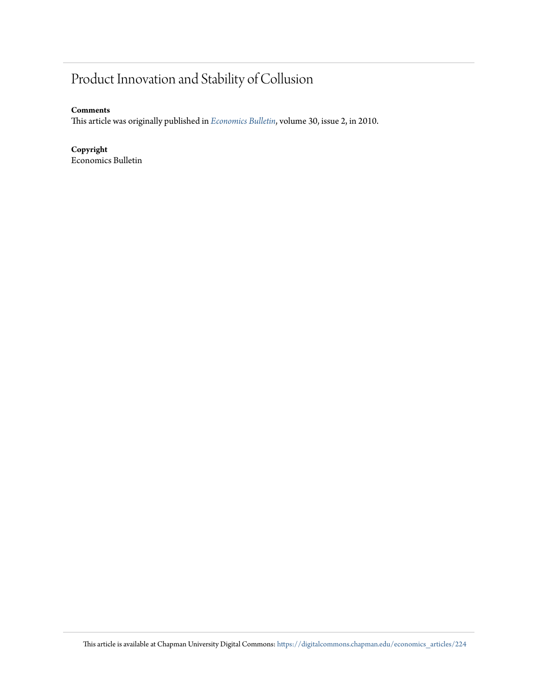# Product Innovation and Stability of Collusion

#### **Comments**

This article was originally published in *[Economics Bulletin](https://ideas.repec.org/a/ebl/ecbull/eb-09-00514.html)*, volume 30, issue 2, in 2010.

#### **Copyright**

Economics Bulletin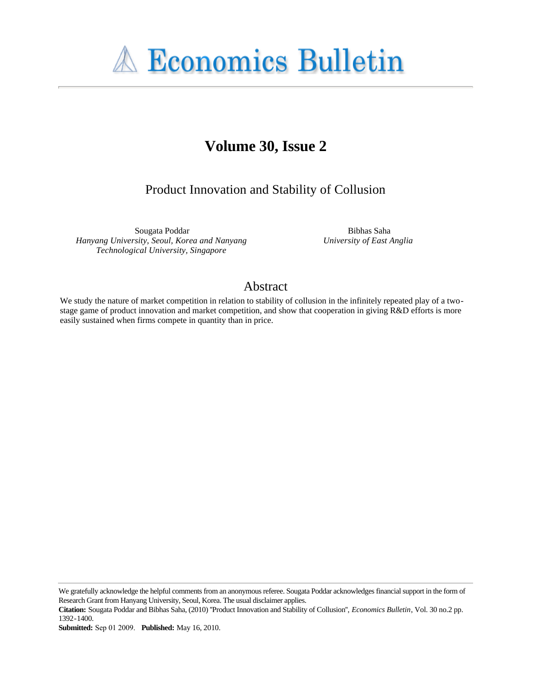

# **Volume 30, Issue 2**

Product Innovation and Stability of Collusion

Sougata Poddar *Hanyang University, Seoul, Korea and Nanyang Technological University, Singapore*

Bibhas Saha *University of East Anglia*

### Abstract

We study the nature of market competition in relation to stability of collusion in the infinitely repeated play of a twostage game of product innovation and market competition, and show that cooperation in giving R&D efforts is more easily sustained when firms compete in quantity than in price.

We gratefully acknowledge the helpful comments from an anonymous referee. Sougata Poddar acknowledges financial support in the form of Research Grant from Hanyang University, Seoul, Korea. The usual disclaimer applies.

**Citation:** Sougata Poddar and Bibhas Saha, (2010) ''Product Innovation and Stability of Collusion'', *Economics Bulletin*, Vol. 30 no.2 pp. 1392-1400.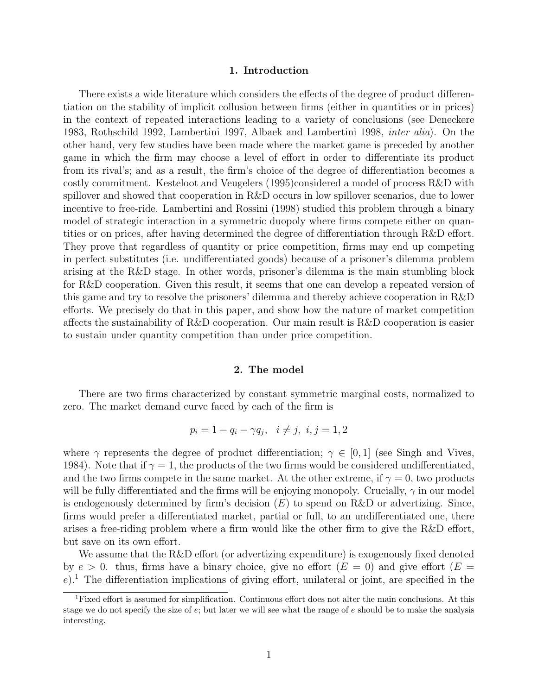#### 1. Introduction

There exists a wide literature which considers the effects of the degree of product differentiation on the stability of implicit collusion between firms (either in quantities or in prices) in the context of repeated interactions leading to a variety of conclusions (see Deneckere 1983, Rothschild 1992, Lambertini 1997, Albaek and Lambertini 1998, inter alia). On the other hand, very few studies have been made where the market game is preceded by another game in which the firm may choose a level of effort in order to differentiate its product from its rival's; and as a result, the firm's choice of the degree of differentiation becomes a costly commitment. Kesteloot and Veugelers (1995)considered a model of process R&D with spillover and showed that cooperation in R&D occurs in low spillover scenarios, due to lower incentive to free-ride. Lambertini and Rossini (1998) studied this problem through a binary model of strategic interaction in a symmetric duopoly where firms compete either on quantities or on prices, after having determined the degree of differentiation through R&D effort. They prove that regardless of quantity or price competition, firms may end up competing in perfect substitutes (i.e. undifferentiated goods) because of a prisoner's dilemma problem arising at the R&D stage. In other words, prisoner's dilemma is the main stumbling block for R&D cooperation. Given this result, it seems that one can develop a repeated version of this game and try to resolve the prisoners' dilemma and thereby achieve cooperation in R&D efforts. We precisely do that in this paper, and show how the nature of market competition affects the sustainability of R&D cooperation. Our main result is R&D cooperation is easier to sustain under quantity competition than under price competition.

#### 2. The model

There are two firms characterized by constant symmetric marginal costs, normalized to zero. The market demand curve faced by each of the firm is

$$
p_i = 1 - q_i - \gamma q_j, \quad i \neq j, \quad i, j = 1, 2
$$

where  $\gamma$  represents the degree of product differentiation;  $\gamma \in [0, 1]$  (see Singh and Vives, 1984). Note that if  $\gamma = 1$ , the products of the two firms would be considered undifferentiated, and the two firms compete in the same market. At the other extreme, if  $\gamma = 0$ , two products will be fully differentiated and the firms will be enjoying monopoly. Crucially,  $\gamma$  in our model is endogenously determined by firm's decision  $(E)$  to spend on R&D or advertizing. Since, firms would prefer a differentiated market, partial or full, to an undifferentiated one, there arises a free-riding problem where a firm would like the other firm to give the R&D effort, but save on its own effort.

We assume that the R&D effort (or advertizing expenditure) is exogenously fixed denoted by  $e > 0$ . thus, firms have a binary choice, give no effort  $(E = 0)$  and give effort  $(E = 0)$  $e$ ).<sup>1</sup> The differentiation implications of giving effort, unilateral or joint, are specified in the

<sup>&</sup>lt;sup>1</sup>Fixed effort is assumed for simplification. Continuous effort does not alter the main conclusions. At this stage we do not specify the size of e; but later we will see what the range of e should be to make the analysis interesting.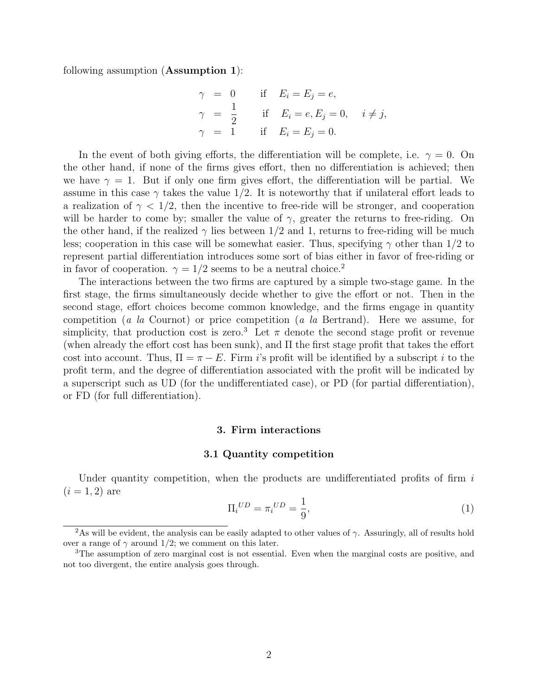following assumption (Assumption 1):

$$
\gamma = 0 \quad \text{if} \quad E_i = E_j = e,
$$
  
\n
$$
\gamma = \frac{1}{2} \quad \text{if} \quad E_i = e, E_j = 0, \quad i \neq j,
$$
  
\n
$$
\gamma = 1 \quad \text{if} \quad E_i = E_j = 0.
$$

In the event of both giving efforts, the differentiation will be complete, i.e.  $\gamma = 0$ . On the other hand, if none of the firms gives effort, then no differentiation is achieved; then we have  $\gamma = 1$ . But if only one firm gives effort, the differentiation will be partial. We assume in this case  $\gamma$  takes the value 1/2. It is noteworthy that if unilateral effort leads to a realization of  $\gamma < 1/2$ , then the incentive to free-ride will be stronger, and cooperation will be harder to come by; smaller the value of  $\gamma$ , greater the returns to free-riding. On the other hand, if the realized  $\gamma$  lies between 1/2 and 1, returns to free-riding will be much less; cooperation in this case will be somewhat easier. Thus, specifying  $\gamma$  other than 1/2 to represent partial differentiation introduces some sort of bias either in favor of free-riding or in favor of cooperation.  $\gamma = 1/2$  seems to be a neutral choice.<sup>2</sup>

The interactions between the two firms are captured by a simple two-stage game. In the first stage, the firms simultaneously decide whether to give the effort or not. Then in the second stage, effort choices become common knowledge, and the firms engage in quantity competition (a la Cournot) or price competition (a la Bertrand). Here we assume, for simplicity, that production cost is zero.<sup>3</sup> Let  $\pi$  denote the second stage profit or revenue (when already the effort cost has been sunk), and  $\Pi$  the first stage profit that takes the effort cost into account. Thus,  $\Pi = \pi - E$ . Firm i's profit will be identified by a subscript i to the profit term, and the degree of differentiation associated with the profit will be indicated by a superscript such as UD (for the undifferentiated case), or PD (for partial differentiation), or FD (for full differentiation).

#### 3. Firm interactions

#### 3.1 Quantity competition

Under quantity competition, when the products are undifferentiated profits of firm  $i$  $(i = 1, 2)$  are

$$
\Pi_i{}^{UD} = \pi_i{}^{UD} = \frac{1}{9},\tag{1}
$$

<sup>&</sup>lt;sup>2</sup>As will be evident, the analysis can be easily adapted to other values of  $\gamma$ . Assuringly, all of results hold over a range of  $\gamma$  around 1/2; we comment on this later.

<sup>3</sup>The assumption of zero marginal cost is not essential. Even when the marginal costs are positive, and not too divergent, the entire analysis goes through.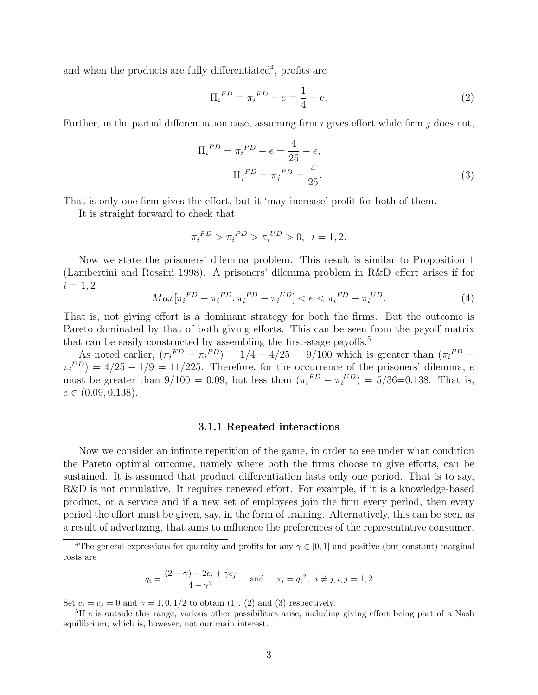and when the products are fully differentiated<sup>4</sup>, profits are

$$
\Pi_i^{FD} = \pi_i^{FD} - e = \frac{1}{4} - e. \tag{2}
$$

Further, in the partial differentiation case, assuming firm i gives effort while firm j does not,

$$
\Pi_i^{PD} = \pi_i^{PD} - e = \frac{4}{25} - e,
$$
  

$$
\Pi_j^{PD} = \pi_j^{PD} = \frac{4}{25}.
$$
 (3)

That is only one firm gives the effort, but it 'may increase' profit for both of them.

It is straight forward to check that

$$
\pi_i^{FD} > \pi_i^{PD} > \pi_i^{UD} > 0, \ \ i = 1, 2.
$$

Now we state the prisoners' dilemma problem. This result is similar to Proposition 1 (Lambertini and Rossini 1998). A prisoners' dilemma problem in R&D effort arises if for  $i = 1, 2$ 

$$
Max[\pi_i^{FD} - \pi_i^{PD}, \pi_i^{PD} - \pi_i^{UD}] < e < \pi_i^{FD} - \pi_i^{UD}.\tag{4}
$$

That is, not giving effort is a dominant strategy for both the firms. But the outcome is Pareto dominated by that of both giving efforts. This can be seen from the payoff matrix that can be easily constructed by assembling the first-stage payoffs.<sup>5</sup>

As noted earlier,  $(\pi_i^{FD} - \pi_i^{PD}) = 1/4 - 4/25 = 9/100$  which is greater than  $(\pi_i^{PD} \pi_i^{UD}$  = 4/25 – 1/9 = 11/225. Therefore, for the occurrence of the prisoners' dilemma, e must be greater than  $9/100 = 0.09$ , but less than  $(\pi_i^{FD} - \pi_i^{UD}) = 5/36 = 0.138$ . That is,  $e \in (0.09, 0.138).$ 

#### 3.1.1 Repeated interactions

Now we consider an infinite repetition of the game, in order to see under what condition the Pareto optimal outcome, namely where both the firms choose to give efforts, can be sustained. It is assumed that product differentiation lasts only one period. That is to say, R&D is not cumulative. It requires renewed effort. For example, if it is a knowledge-based product, or a service and if a new set of employees join the firm every period, then every period the effort must be given, say, in the form of training. Alternatively, this can be seen as a result of advertizing, that aims to influence the preferences of the representative consumer.

$$
q_i = \frac{(2-\gamma) - 2c_i + \gamma c_j}{4 - \gamma^2}
$$
 and  $\pi_i = q_i^2$ ,  $i \neq j, i, j = 1, 2$ .

Set  $c_i = c_j = 0$  and  $\gamma = 1, 0, 1/2$  to obtain (1), (2) and (3) respectively.

<sup>&</sup>lt;sup>4</sup>The general expressions for quantity and profits for any  $\gamma \in [0,1]$  and positive (but constant) marginal costs are

<sup>&</sup>lt;sup>5</sup>If e is outside this range, various other possibilities arise, including giving effort being part of a Nash equilibrium, which is, however, not our main interest.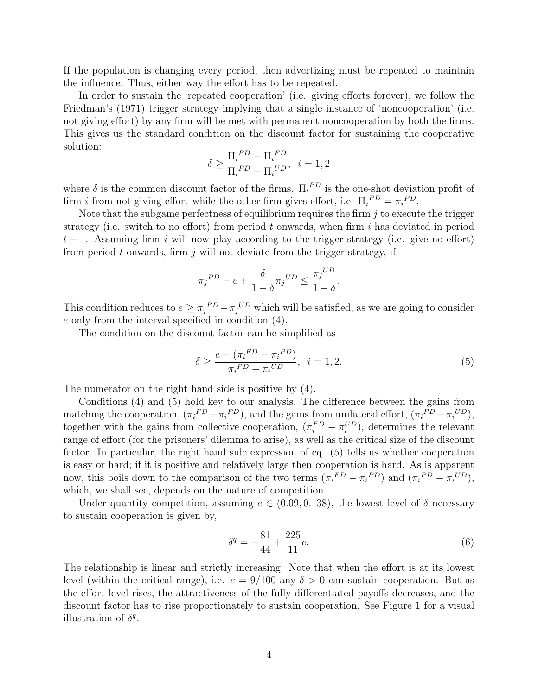If the population is changing every period, then advertizing must be repeated to maintain the influence. Thus, either way the effort has to be repeated.

In order to sustain the 'repeated cooperation' (i.e. giving efforts forever), we follow the Friedman's (1971) trigger strategy implying that a single instance of 'noncooperation' (i.e. not giving effort) by any firm will be met with permanent noncooperation by both the firms. This gives us the standard condition on the discount factor for sustaining the cooperative solution:

$$
\delta \ge \frac{\Pi_i^{PD} - \Pi_i^{FD}}{\Pi_i^{PD} - \Pi_i^{UD}}, \ \ i = 1, 2
$$

where  $\delta$  is the common discount factor of the firms.  $\Pi_i^{PD}$  is the one-shot deviation profit of firm *i* from not giving effort while the other firm gives effort, i.e.  $\Pi_i^{PD} = \pi_i^{PD}$ .

Note that the subgame perfectness of equilibrium requires the firm  $j$  to execute the trigger strategy (i.e. switch to no effort) from period  $t$  onwards, when firm  $i$  has deviated in period  $t-1$ . Assuming firm i will now play according to the trigger strategy (i.e. give no effort) from period  $t$  onwards, firm  $j$  will not deviate from the trigger strategy, if

$$
\pi_j^{PD} - e + \frac{\delta}{1 - \delta} \pi_j^{UD} \le \frac{\pi_j^{UD}}{1 - \delta}.
$$

This condition reduces to  $e \geq \pi_j{}^{PD} - \pi_j{}^{UD}$  which will be satisfied, as we are going to consider e only from the interval specified in condition (4).

The condition on the discount factor can be simplified as

$$
\delta \ge \frac{e - (\pi_i^{FD} - \pi_i^{PD})}{\pi_i^{PD} - \pi_i^{UD}}, \ \ i = 1, 2. \tag{5}
$$

The numerator on the right hand side is positive by (4).

Conditions (4) and (5) hold key to our analysis. The difference between the gains from matching the cooperation,  $(\pi_i{}^{FD} - \pi_i{}^{PD})$ , and the gains from unilateral effort,  $(\pi_i{}^{PD} - \pi_i{}^{UD})$ , together with the gains from collective cooperation,  $(\pi_i^{FD} - \pi_i^{UD})$ , determines the relevant range of effort (for the prisoners' dilemma to arise), as well as the critical size of the discount factor. In particular, the right hand side expression of eq. (5) tells us whether cooperation is easy or hard; if it is positive and relatively large then cooperation is hard. As is apparent now, this boils down to the comparison of the two terms  $(\pi_i^{FD} - \pi_i^{PD})$  and  $(\pi_i^{PD} - \pi_i^{UD})$ , which, we shall see, depends on the nature of competition.

Under quantity competition, assuming  $e \in (0.09, 0.138)$ , the lowest level of  $\delta$  necessary to sustain cooperation is given by,

$$
\delta^q = -\frac{81}{44} + \frac{225}{11}e.\tag{6}
$$

The relationship is linear and strictly increasing. Note that when the effort is at its lowest level (within the critical range), i.e.  $e = 9/100$  any  $\delta > 0$  can sustain cooperation. But as the effort level rises, the attractiveness of the fully differentiated payoffs decreases, and the discount factor has to rise proportionately to sustain cooperation. See Figure 1 for a visual illustration of  $\delta^q$ .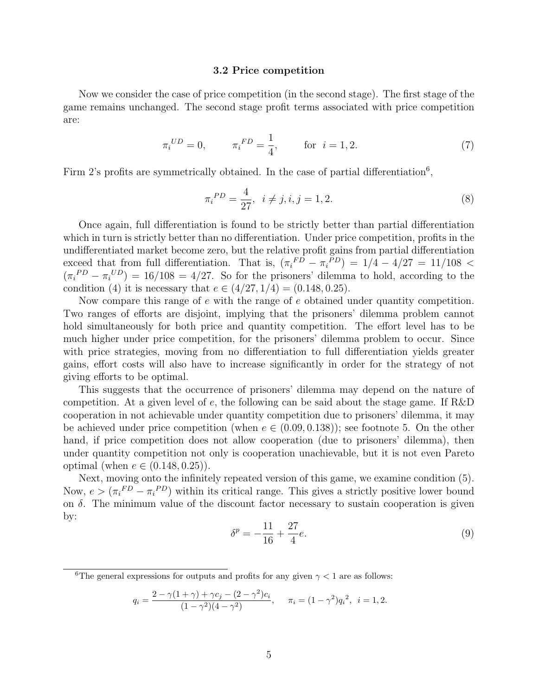#### 3.2 Price competition

Now we consider the case of price competition (in the second stage). The first stage of the game remains unchanged. The second stage profit terms associated with price competition are:

$$
\pi_i^{UD} = 0, \qquad \pi_i^{FD} = \frac{1}{4}, \qquad \text{for } i = 1, 2. \tag{7}
$$

Firm 2's profits are symmetrically obtained. In the case of partial differentiation<sup>6</sup>,

$$
\pi_i^{PD} = \frac{4}{27}, \ \ i \neq j, i, j = 1, 2. \tag{8}
$$

Once again, full differentiation is found to be strictly better than partial differentiation which in turn is strictly better than no differentiation. Under price competition, profits in the undifferentiated market become zero, but the relative profit gains from partial differentiation exceed that from full differentiation. That is,  $(\pi_i^{FD} - \pi_i^{PD}) = 1/4 - 4/27 = 11/108$  $(\pi_i^{PD} - \pi_i^{UD}) = 16/108 = 4/27$ . So for the prisoners' dilemma to hold, according to the condition (4) it is necessary that  $e \in (4/27, 1/4) = (0.148, 0.25)$ .

Now compare this range of e with the range of e obtained under quantity competition. Two ranges of efforts are disjoint, implying that the prisoners' dilemma problem cannot hold simultaneously for both price and quantity competition. The effort level has to be much higher under price competition, for the prisoners' dilemma problem to occur. Since with price strategies, moving from no differentiation to full differentiation yields greater gains, effort costs will also have to increase significantly in order for the strategy of not giving efforts to be optimal.

This suggests that the occurrence of prisoners' dilemma may depend on the nature of competition. At a given level of  $e$ , the following can be said about the stage game. If R&D cooperation in not achievable under quantity competition due to prisoners' dilemma, it may be achieved under price competition (when  $e \in (0.09, 0.138)$ ); see footnote 5. On the other hand, if price competition does not allow cooperation (due to prisoners' dilemma), then under quantity competition not only is cooperation unachievable, but it is not even Pareto optimal (when  $e \in (0.148, 0.25)$ ).

Next, moving onto the infinitely repeated version of this game, we examine condition (5). Now,  $e > (\pi_i^{FD} - \pi_i^{PD})$  within its critical range. This gives a strictly positive lower bound on  $\delta$ . The minimum value of the discount factor necessary to sustain cooperation is given by:

$$
\delta^p = -\frac{11}{16} + \frac{27}{4}e.\tag{9}
$$

$$
q_i = \frac{2 - \gamma(1 + \gamma) + \gamma c_j - (2 - \gamma^2)c_i}{(1 - \gamma^2)(4 - \gamma^2)}, \quad \pi_i = (1 - \gamma^2)q_i^2, \quad i = 1, 2.
$$

<sup>&</sup>lt;sup>6</sup>The general expressions for outputs and profits for any given  $\gamma < 1$  are as follows: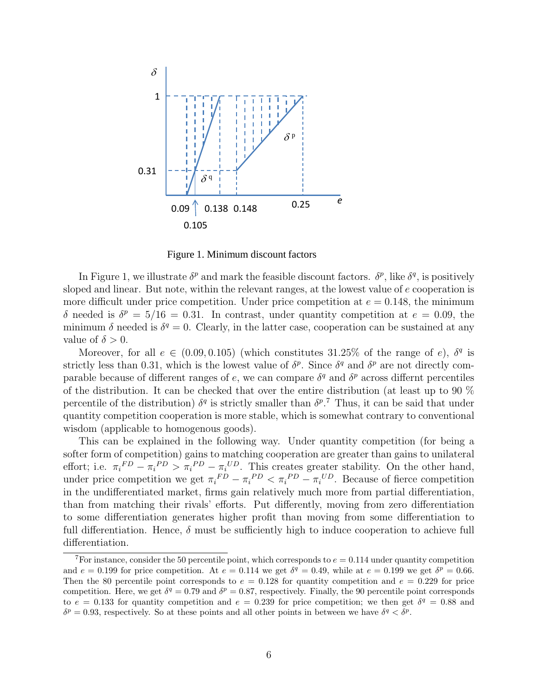

Figure 1. Minimum discount factors

In Figure 1, we illustrate  $\delta^p$  and mark the feasible discount factors.  $\delta^p$ , like  $\delta^q$ , is positively sloped and linear. But note, within the relevant ranges, at the lowest value of e cooperation is more difficult under price competition. Under price competition at  $e = 0.148$ , the minimum δ needed is  $δ<sup>p</sup> = 5/16 = 0.31$ . In contrast, under quantity competition at  $e = 0.09$ , the minimum  $\delta$  needed is  $\delta^q = 0$ . Clearly, in the latter case, cooperation can be sustained at any value of  $\delta > 0$ .

Moreover, for all  $e \in (0.09, 0.105)$  (which constitutes 31.25% of the range of e),  $\delta^q$  is strictly less than 0.31, which is the lowest value of  $\delta^p$ . Since  $\delta^q$  and  $\delta^p$  are not directly comparable because of different ranges of e, we can compare  $\delta^q$  and  $\delta^p$  across differnt percentiles of the distribution. It can be checked that over the entire distribution (at least up to 90 % percentile of the distribution)  $\delta^q$  is strictly smaller than  $\delta^{p}$ . Thus, it can be said that under quantity competition cooperation is more stable, which is somewhat contrary to conventional wisdom (applicable to homogenous goods).

This can be explained in the following way. Under quantity competition (for being a softer form of competition) gains to matching cooperation are greater than gains to unilateral effort; i.e.  $\pi_i^{FD} - \pi_i^{PD} > \pi_i^{PD} - \pi_i^{UD}$ . This creates greater stability. On the other hand, under price competition we get  $\pi_i^{FD} - \pi_i^{PD} < \pi_i^{PD} - \pi_i^{UD}$ . Because of fierce competition in the undifferentiated market, firms gain relatively much more from partial differentiation, than from matching their rivals' efforts. Put differently, moving from zero differentiation to some differentiation generates higher profit than moving from some differentiation to full differentiation. Hence,  $\delta$  must be sufficiently high to induce cooperation to achieve full differentiation.

<sup>&</sup>lt;sup>7</sup>For instance, consider the 50 percentile point, which corresponds to  $e = 0.114$  under quantity competition and  $e = 0.199$  for price competition. At  $e = 0.114$  we get  $\delta^q = 0.49$ , while at  $e = 0.199$  we get  $\delta^p = 0.66$ . Then the 80 percentile point corresponds to  $e = 0.128$  for quantity competition and  $e = 0.229$  for price competition. Here, we get  $\delta^q = 0.79$  and  $\delta^p = 0.87$ , respectively. Finally, the 90 percentile point corresponds to  $e = 0.133$  for quantity competition and  $e = 0.239$  for price competition; we then get  $\delta^q = 0.88$  and  $\delta^p = 0.93$ , respectively. So at these points and all other points in between we have  $\delta^q < \delta^p$ .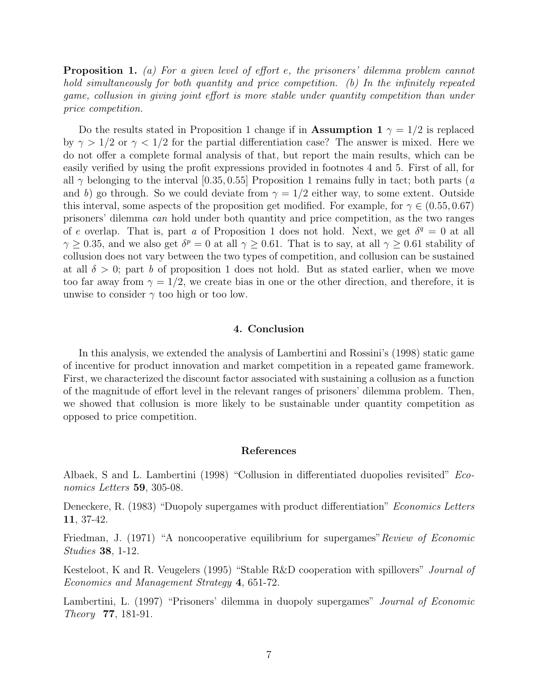Proposition 1. (a) For a given level of effort e, the prisoners' dilemma problem cannot hold simultaneously for both quantity and price competition. (b) In the infinitely repeated game, collusion in giving joint effort is more stable under quantity competition than under price competition.

Do the results stated in Proposition 1 change if in Assumption 1  $\gamma = 1/2$  is replaced by  $\gamma > 1/2$  or  $\gamma < 1/2$  for the partial differentiation case? The answer is mixed. Here we do not offer a complete formal analysis of that, but report the main results, which can be easily verified by using the profit expressions provided in footnotes 4 and 5. First of all, for all  $\gamma$  belonging to the interval [0.35, 0.55] Proposition 1 remains fully in tact; both parts (a and b) go through. So we could deviate from  $\gamma = 1/2$  either way, to some extent. Outside this interval, some aspects of the proposition get modified. For example, for  $\gamma \in (0.55, 0.67)$ prisoners' dilemma can hold under both quantity and price competition, as the two ranges of e overlap. That is, part a of Proposition 1 does not hold. Next, we get  $\delta^q = 0$  at all  $\gamma \geq 0.35$ , and we also get  $\delta^p = 0$  at all  $\gamma \geq 0.61$ . That is to say, at all  $\gamma \geq 0.61$  stability of collusion does not vary between the two types of competition, and collusion can be sustained at all  $\delta > 0$ ; part b of proposition 1 does not hold. But as stated earlier, when we move too far away from  $\gamma = 1/2$ , we create bias in one or the other direction, and therefore, it is unwise to consider  $\gamma$  too high or too low.

#### 4. Conclusion

In this analysis, we extended the analysis of Lambertini and Rossini's (1998) static game of incentive for product innovation and market competition in a repeated game framework. First, we characterized the discount factor associated with sustaining a collusion as a function of the magnitude of effort level in the relevant ranges of prisoners' dilemma problem. Then, we showed that collusion is more likely to be sustainable under quantity competition as opposed to price competition.

#### References

Albaek, S and L. Lambertini (1998) "Collusion in differentiated duopolies revisited" Economics Letters 59, 305-08.

Deneckere, R. (1983) "Duopoly supergames with product differentiation" *Economics Letters* 11, 37-42.

Friedman, J. (1971) "A noncooperative equilibrium for supergames" Review of Economic Studies 38, 1-12.

Kesteloot, K and R. Veugelers (1995) "Stable R&D cooperation with spillovers" *Journal of* Economics and Management Strategy 4, 651-72.

Lambertini, L. (1997) "Prisoners' dilemma in duopoly supergames" Journal of Economic Theory 77, 181-91.